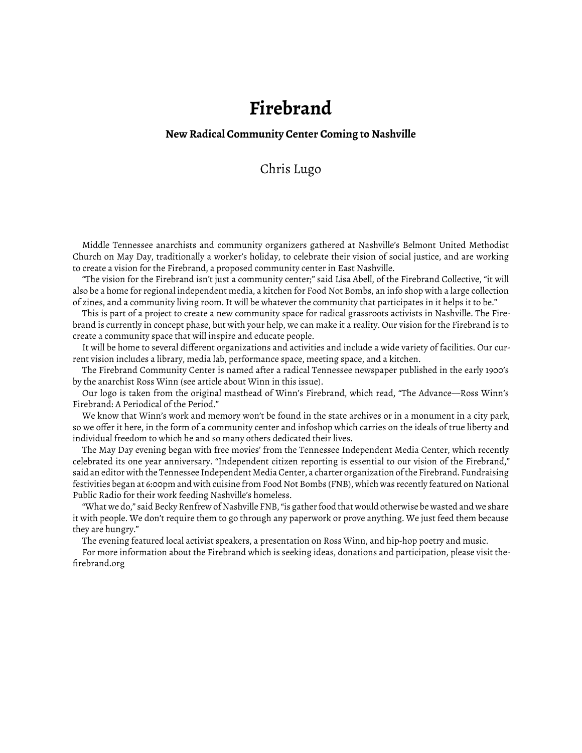## **Firebrand**

## **New Radical Community Center Coming to Nashville**

## Chris Lugo

Middle Tennessee anarchists and community organizers gathered at Nashville's Belmont United Methodist Church on May Day, traditionally a worker's holiday, to celebrate their vision of social justice, and are working to create a vision for the Firebrand, a proposed community center in East Nashville.

"The vision for the Firebrand isn't just a community center;" said Lisa Abell, of the Firebrand Collective, "it will also be a home for regional independent media, a kitchen for Food Not Bombs, an info shop with a large collection of zines, and a community living room. It will be whatever the community that participates in it helps it to be."

This is part of a project to create a new community space for radical grassroots activists in Nashville. The Firebrand is currently in concept phase, but with your help, we can make it a reality. Our vision for the Firebrand is to create a community space that will inspire and educate people.

It will be home to several different organizations and activities and include a wide variety of facilities. Our current vision includes a library, media lab, performance space, meeting space, and a kitchen.

The Firebrand Community Center is named after a radical Tennessee newspaper published in the early 1900's by the anarchist Ross Winn [\(see article about Winn in this issue\).](http://www.fifthestate.org/archive/365-summer-2004/ross-winn/)

Our logo is taken from the original masthead of Winn's Firebrand, which read, "The Advance—Ross Winn's Firebrand: A Periodical of the Period."

We know that Winn's work and memory won't be found in the state archives or in a monument in a city park, so we offer it here, in the form of a community center and infoshop which carries on the ideals of true liberty and individual freedom to which he and so many others dedicated their lives.

The May Day evening began with free movies' from the Tennessee Independent Media Center, which recently celebrated its one year anniversary. "Independent citizen reporting is essential to our vision of the Firebrand," said an editor with the Tennessee Independent Media Center, a charter organization of the Firebrand. Fundraising festivities began at 6:00pm and with cuisine from Food Not Bombs (FNB), which was recently featured on National Public Radio for their work feeding Nashville's homeless.

"What we do," said Becky Renfrew of Nashville FNB, "is gather food that would otherwise be wasted and we share it with people. We don't require them to go through any paperwork or prove anything. We just feed them because they are hungry."

The evening featured local activist speakers, a presentation on Ross Winn, and hip-hop poetry and music.

For more information about the Firebrand which is seeking ideas, donations and participation, please visit thefirebrand.org